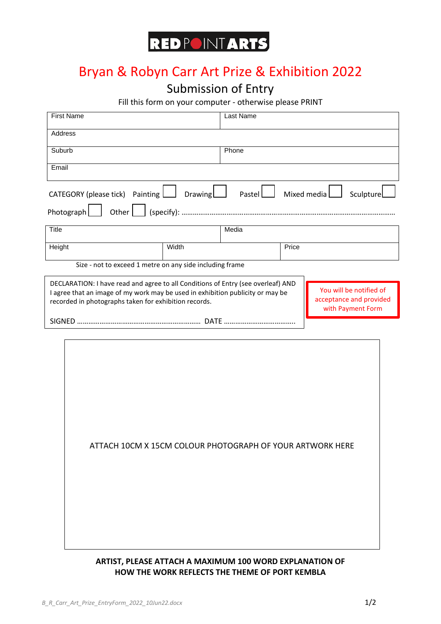# **REDPOINTARTS**

# Bryan & Robyn Carr Art Prize & Exhibition 2022

### Submission of Entry

Fill this form on your computer - otherwise please PRINT

| <b>First Name</b>                                                                                                                                                                                                           |         | Last Name |                                                                         |                          |
|-----------------------------------------------------------------------------------------------------------------------------------------------------------------------------------------------------------------------------|---------|-----------|-------------------------------------------------------------------------|--------------------------|
| Address                                                                                                                                                                                                                     |         |           |                                                                         |                          |
| Suburb                                                                                                                                                                                                                      |         | Phone     |                                                                         |                          |
| Email                                                                                                                                                                                                                       |         |           |                                                                         |                          |
| CATEGORY (please tick) Painting $\boxed{\phantom{a}}$                                                                                                                                                                       | Drawing | Pastel    |                                                                         | Mixed media<br>Sculpture |
| Photograph                                                                                                                                                                                                                  |         |           |                                                                         |                          |
| <b>Title</b>                                                                                                                                                                                                                |         | Media     |                                                                         |                          |
| Height                                                                                                                                                                                                                      | Width   |           | Price                                                                   |                          |
| Size - not to exceed 1 metre on any side including frame                                                                                                                                                                    |         |           |                                                                         |                          |
| DECLARATION: I have read and agree to all Conditions of Entry (see overleaf) AND<br>I agree that an image of my work may be used in exhibition publicity or may be<br>recorded in photographs taken for exhibition records. |         |           | You will be notified of<br>acceptance and provided<br>with Payment Form |                          |
|                                                                                                                                                                                                                             |         |           |                                                                         |                          |
|                                                                                                                                                                                                                             |         |           |                                                                         |                          |
|                                                                                                                                                                                                                             |         |           |                                                                         |                          |
|                                                                                                                                                                                                                             |         |           |                                                                         |                          |
|                                                                                                                                                                                                                             |         |           |                                                                         |                          |
|                                                                                                                                                                                                                             |         |           |                                                                         |                          |

ATTACH 10CM X 15CM COLOUR PHOTOGRAPH OF YOUR ARTWORK HERE

### **ARTIST, PLEASE ATTACH A MAXIMUM 100 WORD EXPLANATION OF HOW THE WORK REFLECTS THE THEME OF PORT KEMBLA**